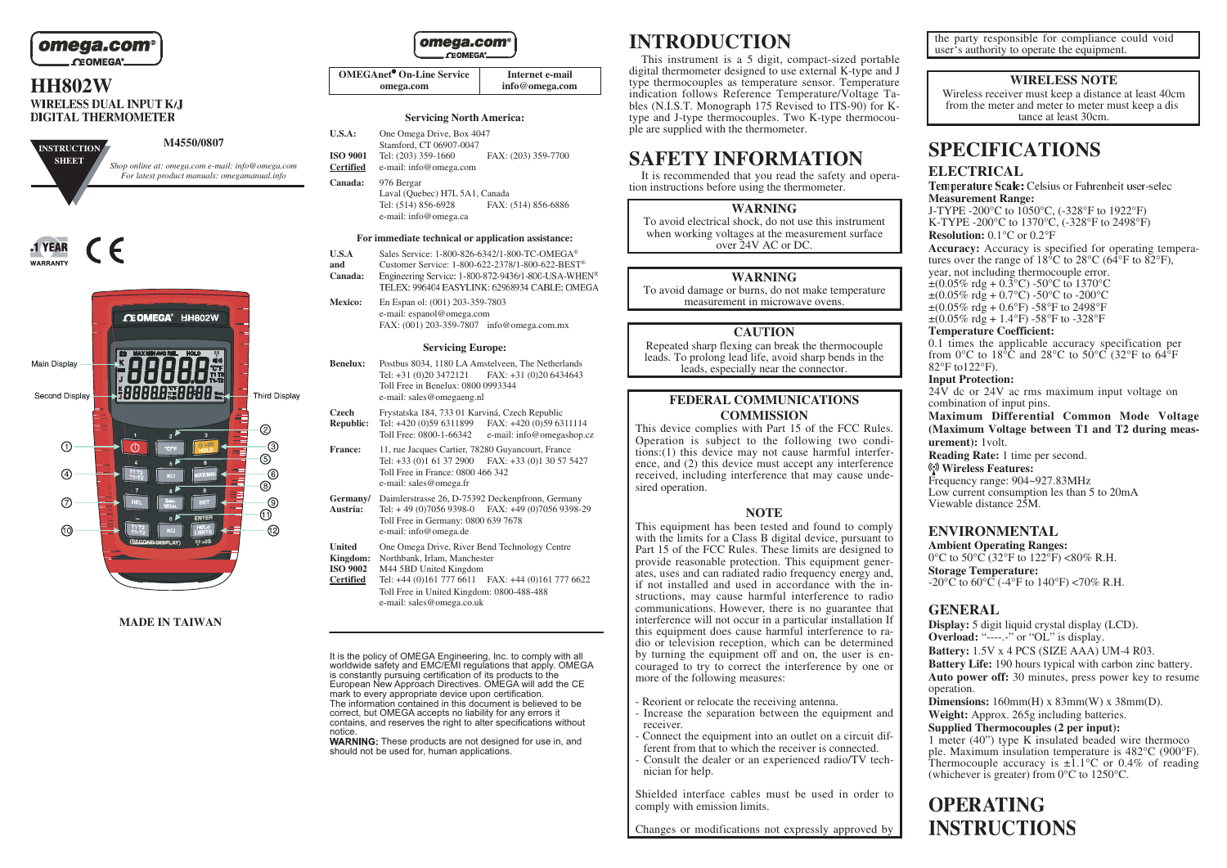

# **HH802W DIGITAL THERMOMETER**







#### **MADE IN TAIWAN**

omega.com **CEOMEGA** 

| <b>OMEGAnet<sup>®</sup> On-Line Service</b> | Internet e-mail |
|---------------------------------------------|-----------------|
| omega.com                                   | info@omega.com  |

#### **Servicing North America:**

| <b>U.S.A:</b>   | One Omega Drive, Box 4047 |                     |
|-----------------|---------------------------|---------------------|
|                 | Stamford, CT 06907-0047   |                     |
| <b>ISO 9001</b> | Tel: (203) 359-1660       | FAX: (203) 359-7700 |
| Certified       | e-mail: info@omega.com    |                     |

**Canada:** 976 Bergar Laval (Quebec) H7L 5A1, Canada<br>Tel: (514) 856-6928 FAX:

FAX: (514) 856-6886 e-mail: info@omega.ca

#### **For immediate technical or application assistance:**

- **U.S.A** Sales Service: 1-800-826-6342/1-800-TC-OMEGA<sup>®</sup><br>Customer Service: 1-800-622-2378/1-800-622-REST
- Customer Service: 1-800-622-2378/1-800-622-BEST<sup>®</sup><br>Engineering Service: 1-800-872-9436/1-800-USA-WHEN<sup>®</sup> **Canada:** TELEX: 996404 EASYLINK: 62968934 CABLE: OMEGA

**Mexico:** En Espan ol: (001) 203-359-7803 e-mail: espanol@omega.com FAX: (001) 203-359-7807 info@omega.com.mx

#### **Servicing Europe:**

- **Benelux:** Postbus 8034, 1180 LA Amstelveen, The Netherlands Tel: +31 (0)20 3472121 FAX: +31 (0)20 6434643 Toll Free in Benelux: 0800 0993344 e-mail: sales@omegaeng.nl
- **Czech** Frystatska 184, 733 01 Karviná, Czech Republic **Republic:** Tel: +420 (0)59 6311899 FAX: +420 (0)59 6311114
- Toll Free: 0800-1-66342 e-mail: info@omegashop.cz
- **France:** 11, rue Jacques Cartier, 78280 Guyancourt, France Tel: +33 (0)1 61 37 2900 FAX: +33 (0)1 30 57 5427 Toll Free in France: 0800 466 342 e-mail: sales@omega.fr
- **Germany/** Daimlerstrasse 26, D-75392 Deckenpfronn, Germany<br>**Austria:** Tel: +49 (0)7056 9398-0 FAX: +49 (0)7056 9398-2 **Austria:** Tel: + 49 (0)7056 9398-0 FAX: +49 (0)7056 9398-29 Toll Free in Germany: 0800 639 7678 e-mail: info@omega.de
- United One Omega Drive, River Bend Technology Centre<br>**Kingdom:** Northbank, Irlam, Manchester
- **Kingdom:** Northbank, Irlam, Manchester
- **ISO 9002** M44 5BD United Kingdom
- **Certified** Tel: +44 (0)161 777 6611 FAX: +44 (0)161 777 6622 Toll Free in United Kingdom: 0800-488-488 e-mail: sales@omega.co.uk

It is the policy of OMEGA Engineering, Inc. to comply with all worldwide safety and EMC/EMI regulations that apply. OMEGA is constantly pursuing certification of its products to the European New Approach Directives. OMEGA will add the CE mark to every appropriate device upon certification. The information contained in this document is believed to be correct, but OMEGA accepts no liability for any errors it contains, and reserves the right to alter specifications without notice.

WARNING: These products are not designed for use in, and should not be used for, human applications.

# **INTRODUCTION**

This instrument is a 5 digit, compact-sized portable digital thermometer designed to use external K-type and J type thermocouples as temperature sensor. Temperature indication follows Reference Temperature/Voltage Tables (N.I.S.T. Monograph 175 Revised to ITS-90) for Ktype and J-type thermocouples. Two K-type thermocouple are supplied with the thermometer.

# **SAFETY INFORMATION**

It is recommended that you read the safety and operation instructions before using the thermometer.

**WARNING**

To avoid electrical shock, do not use this instrument when working voltages at the measurement surface over 24V AC or DC.

#### **WARNING**

To avoid damage or burns, do not make temperature measurement in microwave ovens.

#### **CAUTION**

Repeated sharp flexing can break the thermocouple leads. To prolong lead life, avoid sharp bends in the leads, especially near the connector.

### **FEDERAL COMMUNICATIONS COMMISSION**

This device complies with Part 15 of the FCC Rules. Operation is subject to the following two conditions:(1) this device may not cause harmful interference, and (2) this device must accept any interference received, including interference that may cause undesired operation.

#### **NOTE**

This equipment has been tested and found to comply with the limits for a Class B digital device, pursuant to Part 15 of the FCC Rules. These limits are designed to provide reasonable protection. This equipment generates, uses and can radiated radio frequency energy and, if not installed and used in accordance with the instructions, may cause harmful interference to radio communications. However, there is no guarantee that interference will not occur in a particular installation If this equipment does cause harmful interference to radio or television reception, which can be determined by turning the equipment off and on, the user is encouraged to try to correct the interference by one or more of the following measures:

- Reorient or relocate the receiving antenna.

- Increase the separation between the equipment and receiver.
- Connect the equipment into an outlet on a circuit different from that to which the receiver is connected. - Consult the dealer or an experienced radio/TV technician for help.

Shielded interface cables must be used in order to comply with emission limits.

Changes or modifications not expressly approved by

the party responsible for compliance could void user's authority to operate the equipment.

#### **WIRELESS NOTE**

Wireless receiver must keep a distance at least 40cm from the meter and meter to meter must keep a dis tance at least 30cm.

# **SPECIFICATIONS**

**ELECTRICAL**<br>**Temperature Scale:** Celsius or Fahrenheit user-selec **Measurement Range:**

J-TYPE -200°C to 1050°C, (-328°F to 1922°F) K-TYPE -200°C to 1370°C, (-328°F to 2498°F) **Resolution:** 0.1°C or 0.2°F

**Accuracy:** Accuracy is specified for operating temperatures over the range of  $18\degree C$  to  $28\degree C$  (64 $\degree F$  to  $82\degree F$ ). year, not including thermocouple error.  $\pm (0.05\% \text{ rdg} + 0.3\degree \text{C}) - 50\degree \text{C}$  to 1370°C  $\pm (0.05\% \text{ rdg} + 0.7\degree \text{C}) - 50\degree \text{C}$  to  $-200\degree \text{C}$  $\pm (0.05\% \text{ rdg} + 0.6\degree \text{F}) - 58\degree \text{F}$  to 2498°F  $\pm (0.05\% \text{ rdg} + 1.4\text{°F}) - 58\text{°F}$  to -328°F

### **Temperature Coefficient:**

0.1 times the applicable accuracy specification per from 0 $\rm ^{o}C$  to 18 $\rm ^{o}\tilde{C}$  and 28 $\rm ^{o}C$  to 50 $\rm ^{o}C$  (32 $\rm ^{o}F$  to 64 $\rm ^{o}F$ ) 82°F to122°F).

#### **Input Protection:**

 $24V$  dc or 24V ac rms maximum input voltage on combination of input pins. **Maximum Differential Common Mode Voltage (Maximum Voltage between T1 and T2 during measurement):** 1volt.

**Reading Rate:** 1 time per second. **Wireless Features:** Frequency range: 904~927.83MHz Low current consumption les than 5 to 20mA Viewable distance 25M.

# **ENVIRONMENTAL**

**Ambient Operating Ranges:** 0 $^{\circ}$ C to 50 $^{\circ}$ C (32 $^{\circ}$ F to 122 $^{\circ}$ F) <80% R.H. **Storage Temperature:** -20 $^{\circ}$ C to 60 $^{\circ}$ C (-4 $^{\circ}$ F to 140 $^{\circ}$ F) <70% R.H.

# **GENERAL**

**Display:** 5 digit liquid crystal display (LCD). **Overload:** "------" or "OL" is display. **Battery:** 1.5V x 4 PCS (SIZE AAA) UM-4 R03. **Battery Life:** 190 hours typical with carbon zinc battery. **Auto power off:** 30 minutes, press power key to resume operation.

**Dimensions:** 160mm(H) x 83mm(W) x 38mm(D). **Weight:** Approx. 265g including batteries.

## **Supplied Thermocouples (2 per input):**

1 meter (40") type K insulated beaded wire thermoco ple. Maximum insulation temperature is 482°C (900°F). Thermocouple accuracy is  $\pm 1.1^{\circ}$ C or 0.4% of reading (whichever is greater) from 0°C to 1250°C.

# **OPERATING INSTRUCTIONS**